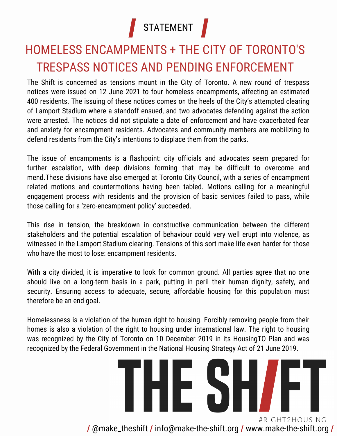

### HOMELESS ENCAMPMENTS + THE CITY OF TORONTO'S TRESPASS NOTICES AND PENDING ENFORCEMENT

The Shift is concerned as tensions mount in the City of Toronto. A new round of trespass notices were issued on 12 June 2021 to four homeless encampments, affecting an estimated 400 residents. The issuing of these notices comes on the heels of the City's attempted clearing of Lamport Stadium where a standoff ensued, and two advocates defending against the action were arrested. The notices did not stipulate a date of enforcement and have exacerbated fear and anxiety for encampment residents. Advocates and community members are mobilizing to defend residents from the City's intentions to displace them from the parks.

The issue of encampments is a flashpoint: city officials and advocates seem prepared for further escalation, with deep divisions forming that may be difficult to overcome and mend.These divisions have also emerged at Toronto City Council, with a series of encampment related motions and countermotions having been tabled. Motions calling for a meaningful engagement process with residents and the provision of basic services failed to pass, while those calling for a 'zero-encampment policy' succeeded.

This rise in tension, the breakdown in constructive communication between the different stakeholders and the potential escalation of behaviour could very well erupt into violence, as witnessed in the Lamport Stadium clearing. Tensions of this sort make life even harder for those who have the most to lose: encampment residents.

With a city divided, it is imperative to look for common ground. All parties agree that no one should live on a long-term basis in a park, putting in peril their human dignity, safety, and security. Ensuring access to adequate, secure, affordable housing for this population must therefore be an end goal.

Homelessness is a violation of the human right to housing. Forcibly removing people from their homes is also a violation of the right to housing under international law. The right to housing was recognized by the City of Toronto on 10 December 2019 in its HousingTO Plan and was recognized by the Federal Government in the National Housing Strategy Act of 21 June 2019.

## **THE SI** #RIGHT2HOUSING **/** @make\_theshift **/** info@make-the-shift.org **/** www.make-the-shift.org **/**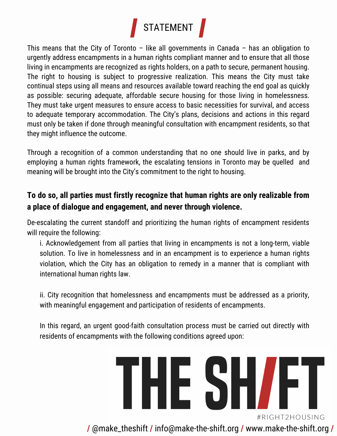

This means that the City of Toronto – like all governments in Canada – has an obligation to urgently address encampments in a human rights compliant manner and to ensure that all those living in encampments are recognized as rights holders, on a path to secure, permanent housing. The right to housing is subject to progressive realization. This means the City must take continual steps using all means and resources available toward reaching the end goal as quickly as possible: securing adequate, affordable secure housing for those living in homelessness. They must take urgent measures to ensure access to basic necessities for survival, and access to adequate temporary accommodation. The City's plans, decisions and actions in this regard must only be taken if done through meaningful consultation with encampment residents, so that they might influence the outcome.

Through a recognition of a common understanding that no one should live in parks, and by employing a human rights framework, the escalating tensions in Toronto may be quelled and meaning will be brought into the City's commitment to the right to housing.

#### **To do so, all parties must firstly recognize that human rights are only realizable from a place of dialogue and engagement, and never through violence.**

De-escalating the current standoff and prioritizing the human rights of encampment residents will require the following:

i. Acknowledgement from all parties that living in encampments is not a long-term, viable solution. To live in homelessness and in an encampment is to experience a human rights violation, which the City has an obligation to remedy in a manner that is compliant with international human rights law.

ii. City recognition that homelessness and encampments must be addressed as a priority, with meaningful engagement and participation of residents of encampments.

In this regard, an urgent good-faith consultation process must be carried out directly with residents of encampments with the following conditions agreed upon:

# THE SH/FT #RIGHT2HOUSING

**/** @make\_theshift **/** info@make-the-shift.org **/** www.make-the-shift.org **/**